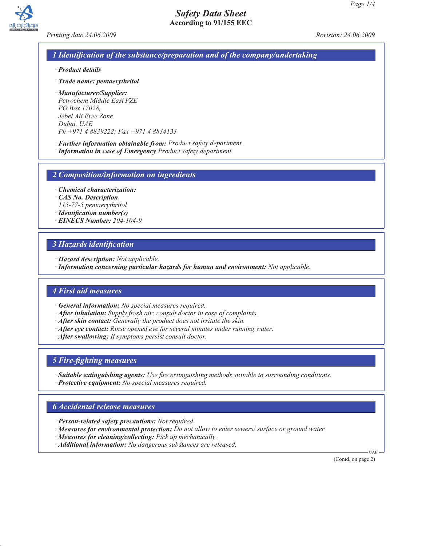



*Printing date 24.06.2009 Revision: 24.06.2009*

### *1 Identification of the substance/preparation and of the company/undertaking*

- *· Product details*
- *· Trade name: pentaerythritol*
- *· Manufacturer/Supplier: Petrochem Middle East FZE PO Box 17028, Jebel Ali Free Zone Dubai, UAE Ph +971 4 8839222; Fax +971 4 8834133*
- *· Further information obtainable from: Product safety department.*
- *· Information in case of Emergency Product safety department.*

*2 Composition/information on ingredients*

*· Chemical characterization:*

- *· CAS No. Description*
- *115-77-5 pentaerythritol*
- *· Identification number(s)*
- *· EINECS Number: 204-104-9*

## *3 Hazards identification*

- *· Hazard description: Not applicable.*
- *· Information concerning particular hazards for human and environment: Not applicable.*

## *4 First aid measures*

- *· General information: No special measures required.*
- *· After inhalation: Supply fresh air; consult doctor in case of complaints.*
- *· After skin contact: Generally the product does not irritate the skin.*
- *· After eye contact: Rinse opened eye for several minutes under running water.*
- *· After swallowing: If symptoms persist consult doctor.*

## *5 Fire-fighting measures*

*· Suitable extinguishing agents: Use fire extinguishing methods suitable to surrounding conditions. · Protective equipment: No special measures required.*

## *6 Accidental release measures*

- *· Person-related safety precautions: Not required.*
- *· Measures for environmental protection: Do not allow to enter sewers/ surface or ground water.*
- *· Measures for cleaning/collecting: Pick up mechanically.*
- *· Additional information: No dangerous substances are released.*

(Contd. on page 2)

UAE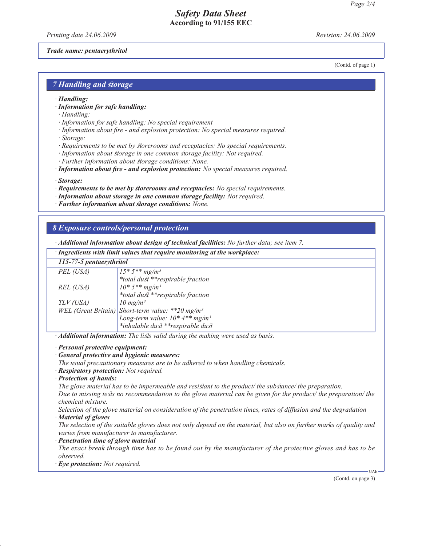# *Safety Data Sheet* **According to 91/155 EEC**

*Printing date 24.06.2009 Revision: 24.06.2009*

(Contd. of page 1)

#### *Trade name: pentaerythritol*

*7 Handling and storage*

- *· Handling:*
- *· Information for safe handling:*
- *· Handling:*
- *· Information for safe handling: No special requirement*
- *· Information about fire and explosion protection: No special measures required. · Storage:*
- *· Requirements to be met by storerooms and receptacles: No special requirements.*
- *· Information about storage in one common storage facility: Not required.*
- *· Further information about storage conditions: None.*
- *· Information about fire and explosion protection: No special measures required.*

*· Storage:*

- *· Requirements to be met by storerooms and receptacles: No special requirements.*
- *· Information about storage in one common storage facility: Not required.*
- *· Further information about storage conditions: None.*

#### *8 Exposure controls/personal protection*

*· Additional information about design of technical facilities: No further data; see item 7.*

*· Ingredients with limit values that require monitoring at the workplace:*

## *115-77-5 pentaerythritol*

| $113$ – $77$ – $3$ pennet ymruot |                                                              |
|----------------------------------|--------------------------------------------------------------|
| PEL (USA)                        | $15 * 5 ** mg/m3$                                            |
|                                  | *total dust **respirable fraction                            |
| REL (USA)                        | $10*5**mg/m^3$                                               |
|                                  | *total dust **respirable fraction                            |
| TLV (USA)                        | $10 \text{ mg/m}^3$                                          |
|                                  | WEL (Great Britain) Short-term value: **20 mg/m <sup>3</sup> |
|                                  | Long-term value: $10^*$ 4** mg/m <sup>3</sup>                |
|                                  | *inhalable dust **respirable dust                            |

*· Additional information: The lists valid during the making were used as basis.*

*· Personal protective equipment:*

*· General protective and hygienic measures:*

*The usual precautionary measures are to be adhered to when handling chemicals.*

*· Respiratory protection: Not required.*

#### *· Protection of hands:*

*The glove material has to be impermeable and resistant to the product/ the substance/ the preparation.*

*Due to missing tests no recommendation to the glove material can be given for the product/ the preparation/ the chemical mixture.*

*Selection of the glove material on consideration of the penetration times, rates of diffusion and the degradation · Material of gloves*

*The selection of the suitable gloves does not only depend on the material, but also on further marks of quality and varies from manufacturer to manufacturer.*

*· Penetration time of glove material*

*The exact break through time has to be found out by the manufacturer of the protective gloves and has to be observed.*

*· Eye protection: Not required.*

(Contd. on page 3)

UAE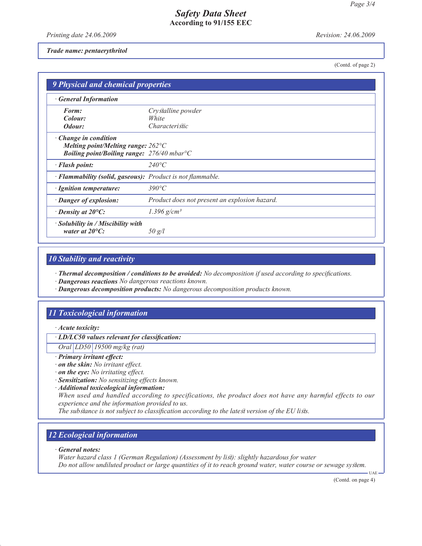## *Safety Data Sheet* **According to 91/155 EEC**

*Printing date 24.06.2009 Revision: 24.06.2009*

#### *Trade name: pentaerythritol*

(Contd. of page 2)

| 9 Physical and chemical properties                                   |                                               |  |
|----------------------------------------------------------------------|-----------------------------------------------|--|
| <b>General Information</b>                                           |                                               |  |
| Form:                                                                | Crystalline powder                            |  |
| Colour:                                                              | White                                         |  |
| Odour:                                                               | <i>Characteristic</i>                         |  |
| $\cdot$ Change in condition                                          |                                               |  |
| Melting point/Melting range: $262^{\circ}C$                          |                                               |  |
| <b>Boiling point/Boiling range:</b> $276/40$ mbar <sup>o</sup> C     |                                               |  |
| · Flash point:                                                       | $240^{\circ}C$                                |  |
| · Flammability (solid, gaseous): Product is not flammable.           |                                               |  |
| · Ignition temperature:                                              | $390^{\circ}C$                                |  |
| · Danger of explosion:                                               | Product does not present an explosion hazard. |  |
| $\cdot$ Density at 20 $\mathrm{^{\circ}C:}$                          | 1.396 $g/cm^{3}$                              |  |
| $\cdot$ Solubility in / Miscibility with<br>water at $20^{\circ}$ C: | 50 g/l                                        |  |

## *10 Stability and reactivity*

*· Thermal decomposition / conditions to be avoided: No decomposition if used according to specifications.*

- *· Dangerous reactions No dangerous reactions known.*
- *· Dangerous decomposition products: No dangerous decomposition products known.*

# *11 Toxicological information*

*· Acute toxicity:*

*· LD/LC50 values relevant for classification:*

*Oral LD50 19500 mg/kg (rat)*

- *· Primary irritant effect:*
- *· on the skin: No irritant effect.*
- *· on the eye: No irritating effect.*
- *· Sensitization: No sensitizing effects known.*
- *· Additional toxicological information:*

*When used and handled according to specifications, the product does not have any harmful effects to our experience and the information provided to us.*

*The substance is not subject to classification according to the latest version of the EU lists.*

## *12 Ecological information*

*· General notes:*

*Water hazard class 1 (German Regulation) (Assessment by list): slightly hazardous for water Do not allow undiluted product or large quantities of it to reach ground water, water course or sewage system.* UAE

(Contd. on page 4)